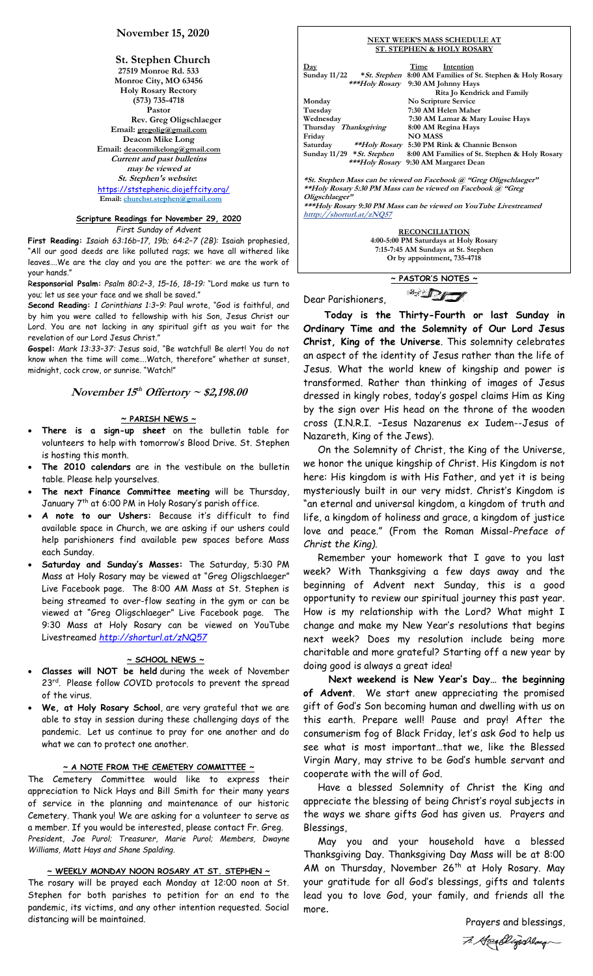# **November 15, 2020**

**St. Stephen Church 27519 Monroe Rd. 533 Monroe City, MO 63456 Holy Rosary Rectory (573) 735-4718 Pastor Rev. Greg Oligschlaeger Email: gregolig@gmail.com Deacon Mike Long Email: deaconmikelong@gmail.com Current and past bulletins may be viewed at St. Stephen's website:** <https://ststephenic.diojeffcity.org/> **Email: [churchst.stephen@gmail.com](mailto:churchst.stephen@gmail.com)**

# **Scripture Readings for November 29, 2020**

*First Sunday of Advent*

**First Reading:** *Isaiah 63:16b–17, 19b; 64:2–7 (2B):* Isaiah prophesied, "All our good deeds are like polluted rags; we have all withered like leaves….We are the clay and you are the potter: we are the work of your hands."

R**esponsorial Psalm:** *Psalm 80:2–3, 15–16, 18–19:* "Lord make us turn to you; let us see your face and we shall be saved."

**Second Reading:** *1 Corinthians 1:3–9:* Paul wrote, "God is faithful, and by him you were called to fellowship with his Son, Jesus Christ our Lord. You are not lacking in any spiritual gift as you wait for the revelation of our Lord Jesus Christ."

**Gospel:** *Mark 13:33–37:* Jesus said, "Be watchful! Be alert! You do not know when the time will come….Watch, therefore" whether at sunset, midnight, cock crow, or sunrise. "Watch!"

# **November 15 th Offertory ~ \$2,198.00**

### **~ PARISH NEWS ~**

- **There is a sign-up sheet** on the bulletin table for volunteers to help with tomorrow's Blood Drive. St. Stephen is hosting this month.
- **The 2010 calendars** are in the vestibule on the bulletin table. Please help yourselves.
- **The next Finance Committee meeting** will be Thursday, January 7th at 6:00 PM in Holy Rosary's parish office.
- **A note to our Ushers:** Because it's difficult to find available space in Church, we are asking if our ushers could help parishioners find available pew spaces before Mass each Sunday.
- **Saturday and Sunday's Masses:** The Saturday, 5:30 PM Mass at Holy Rosary may be viewed at "Greg Oligschlaeger" Live Facebook page. The 8:00 AM Mass at St. Stephen is being streamed to over-flow seating in the gym or can be viewed at "Greg Oligschlaeger" Live Facebook page. The 9:30 Mass at Holy Rosary can be viewed on YouTube Livestreamed *<http://shorturl.at/zNQ57>*

### **~ SCHOOL NEWS ~**

- **Classes will NOT be held** during the week of November 23<sup>rd</sup>. Please follow COVID protocols to prevent the spread of the virus.
- **We, at Holy Rosary School**, are very grateful that we are able to stay in session during these challenging days of the pandemic. Let us continue to pray for one another and do what we can to protect one another.

### **~ A NOTE FROM THE CEMETERY COMMITTEE ~**

The Cemetery Committee would like to express their appreciation to Nick Hays and Bill Smith for their many years of service in the planning and maintenance of our historic Cemetery. Thank you! We are asking for a volunteer to serve as a member. If you would be interested, please contact Fr. Greg. *President, Joe Purol; Treasurer, Marie Purol; Members, Dwayne Williams, Matt Hays and Shane Spalding.*

### **~ WEEKLY MONDAY NOON ROSARY AT ST. STEPHEN ~**

The rosary will be prayed each Monday at 12:00 noon at St. Stephen for both parishes to petition for an end to the pandemic, its victims, and any other intention requested. Social distancing will be maintained.

|                                                                                                                                                      | <b>NEXT WEEK'S MASS SCHEDULE AT</b><br><b>ST. STEPHEN &amp; HOLY ROSARY</b>                    |  |  |
|------------------------------------------------------------------------------------------------------------------------------------------------------|------------------------------------------------------------------------------------------------|--|--|
|                                                                                                                                                      | Intention<br>$\mathbf{Day}$<br>Time                                                            |  |  |
|                                                                                                                                                      | Sunday 11/22 * St. Stephen 8:00 AM Families of St. Stephen & Holy Rosary                       |  |  |
|                                                                                                                                                      | ***Holy Rosary 9:30 AM Johnny Hays                                                             |  |  |
|                                                                                                                                                      | Rita Jo Kendrick and Family                                                                    |  |  |
|                                                                                                                                                      | No Scripture Service<br>Monday                                                                 |  |  |
|                                                                                                                                                      | 7:30 AM Helen Maher<br>Tuesday                                                                 |  |  |
|                                                                                                                                                      | Wednesdav<br>7:30 AM Lamar & Mary Louise Hays                                                  |  |  |
|                                                                                                                                                      | 8:00 AM Regina Hays<br>Thursday <i>Thanksgiving</i>                                            |  |  |
|                                                                                                                                                      | <b>NO MASS</b><br>Friday                                                                       |  |  |
|                                                                                                                                                      | Saturday ** Holy Rosary 5:30 PM Rink & Channie Benson                                          |  |  |
|                                                                                                                                                      | Sunday $11/29$ * St. Stephen<br>8:00 AM Families of St. Stephen & Holy Rosary                  |  |  |
|                                                                                                                                                      | ***Holy Rosary 9:30 AM Margaret Dean                                                           |  |  |
| *St. Stephen Mass can be viewed on Facebook @ "Greg Oligschlaeger"<br>**Holy Rosary 5:30 PM Mass can be viewed on Facebook @ "Greg<br>Oligschlaeger" |                                                                                                |  |  |
|                                                                                                                                                      | ***Holy Rosary 9:30 PM Mass can be viewed on YouTube Livestreamed<br>htttp://shorturl.at/zNQ57 |  |  |
|                                                                                                                                                      | <b>RECONCILIATION</b>                                                                          |  |  |
|                                                                                                                                                      | 4:00-5:00 PM Saturdays at Holy Rosary                                                          |  |  |

**~ PASTOR'S NOTES ~**  $\mathbb{Z}$ 

**7:15-7:45 AM Sundays at St. Stephen Or by appointment, 735-4718**

Dear Parishioners,

Г

 **Today is the Thirty-Fourth or last Sunday in Ordinary Time and the Solemnity of Our Lord Jesus Christ, King of the Universe**. This solemnity celebrates an aspect of the identity of Jesus rather than the life of Jesus. What the world knew of kingship and power is transformed. Rather than thinking of images of Jesus dressed in kingly robes, today's gospel claims Him as King by the sign over His head on the throne of the wooden cross (I.N.R.I. –Iesus Nazarenus ex Iudem--Jesus of Nazareth, King of the Jews).

 On the Solemnity of Christ, the King of the Universe, we honor the unique kingship of Christ. His Kingdom is not here: His kingdom is with His Father, and yet it is being mysteriously built in our very midst. Christ's Kingdom is "an eternal and universal kingdom, a kingdom of truth and life, a kingdom of holiness and grace, a kingdom of justice love and peace." (From the Roman Missal-*Preface of Christ the King).*

 Remember your homework that I gave to you last week? With Thanksgiving a few days away and the beginning of Advent next Sunday, this is a good opportunity to review our spiritual journey this past year. How is my relationship with the Lord? What might I change and make my New Year's resolutions that begins next week? Does my resolution include being more charitable and more grateful? Starting off a new year by doing good is always a great idea!

 **Next weekend is New Year's Day… the beginning of Advent**. We start anew appreciating the promised gift of God's Son becoming human and dwelling with us on this earth. Prepare well! Pause and pray! After the consumerism fog of Black Friday, let's ask God to help us see what is most important…that we, like the Blessed Virgin Mary, may strive to be God's humble servant and cooperate with the will of God.

 Have a blessed Solemnity of Christ the King and appreciate the blessing of being Christ's royal subjects in the ways we share gifts God has given us. Prayers and Blessings,

 May you and your household have a blessed Thanksgiving Day. Thanksgiving Day Mass will be at 8:00 AM on Thursday, November  $26<sup>th</sup>$  at Holy Rosary. May your gratitude for all God's blessings, gifts and talents lead you to love God, your family, and friends all the more.

> Prayers and blessings, 7. Greatligarlage